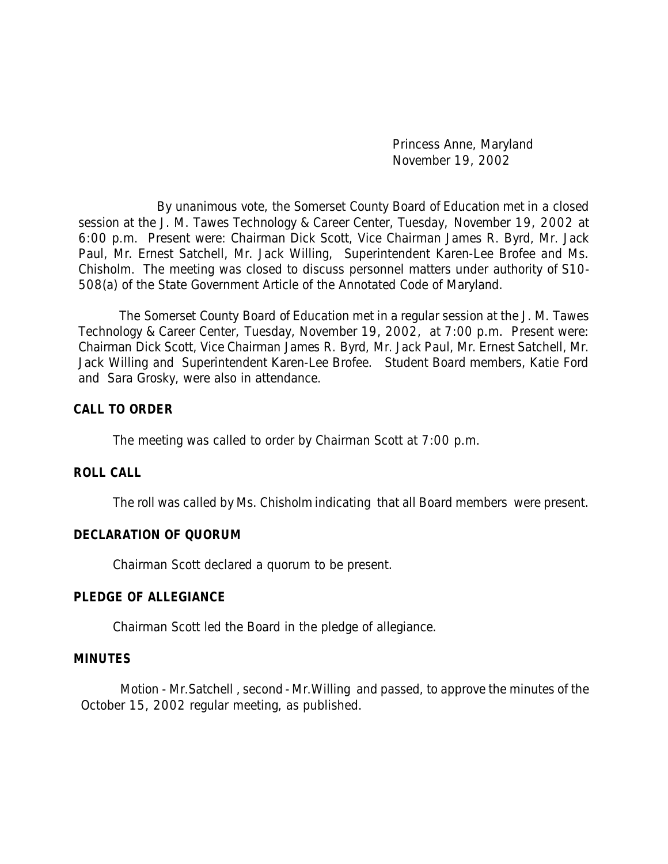Princess Anne, Maryland November 19, 2002

By unanimous vote, the Somerset County Board of Education met in a closed session at the J. M. Tawes Technology & Career Center, Tuesday, November 19, 2002 at 6:00 p.m. Present were: Chairman Dick Scott, Vice Chairman James R. Byrd, Mr. Jack Paul, Mr. Ernest Satchell, Mr. Jack Willing, Superintendent Karen-Lee Brofee and Ms. Chisholm. The meeting was closed to discuss personnel matters under authority of S10- 508(a) of the State Government Article of the Annotated Code of Maryland.

 The Somerset County Board of Education met in a regular session at the J. M. Tawes Technology & Career Center, Tuesday, November 19, 2002, at 7:00 p.m. Present were: Chairman Dick Scott, Vice Chairman James R. Byrd, Mr. Jack Paul, Mr. Ernest Satchell, Mr. Jack Willing and Superintendent Karen-Lee Brofee. Student Board members, Katie Ford and Sara Grosky, were also in attendance.

### **CALL TO ORDER**

The meeting was called to order by Chairman Scott at 7:00 p.m.

#### **ROLL CALL**

The roll was called by Ms. Chisholm indicating that all Board members were present.

#### **DECLARATION OF QUORUM**

Chairman Scott declared a quorum to be present.

#### **PLEDGE OF ALLEGIANCE**

Chairman Scott led the Board in the pledge of allegiance.

#### **MINUTES**

Motion - Mr.Satchell , second - Mr.Willing and passed, to approve the minutes of the October 15, 2002 regular meeting, as published.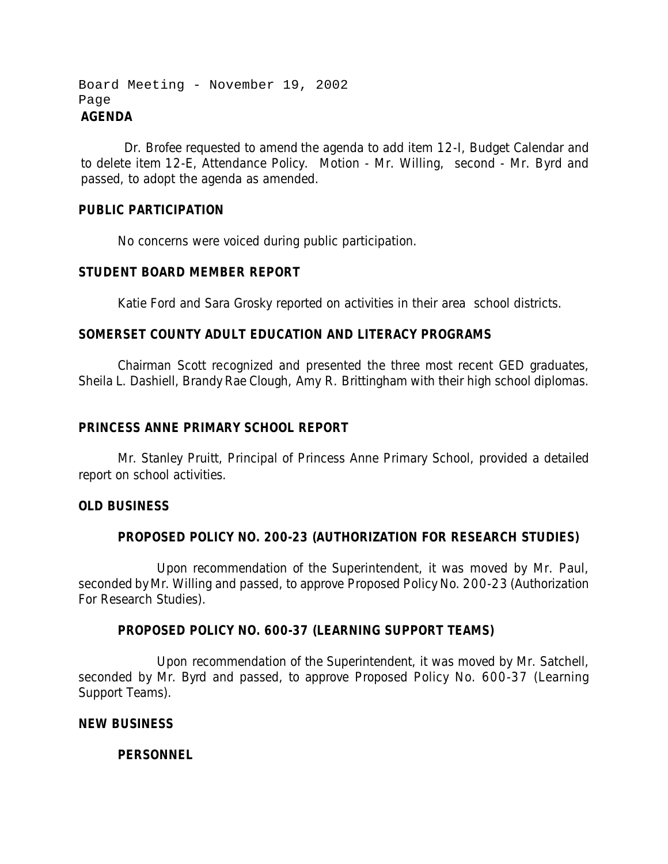```
Board Meeting - November 19, 2002
Page
AGENDA
```
 Dr. Brofee requested to amend the agenda to add item 12-I, Budget Calendar and to delete item 12-E, Attendance Policy. Motion - Mr. Willing, second - Mr. Byrd and passed, to adopt the agenda as amended.

## **PUBLIC PARTICIPATION**

No concerns were voiced during public participation.

### **STUDENT BOARD MEMBER REPORT**

Katie Ford and Sara Grosky reported on activities in their area school districts.

### **SOMERSET COUNTY ADULT EDUCATION AND LITERACY PROGRAMS**

Chairman Scott recognized and presented the three most recent GED graduates, Sheila L. Dashiell, Brandy Rae Clough, Amy R. Brittingham with their high school diplomas.

#### **PRINCESS ANNE PRIMARY SCHOOL REPORT**

Mr. Stanley Pruitt, Principal of Princess Anne Primary School, provided a detailed report on school activities.

#### **OLD BUSINESS**

## **PROPOSED POLICY NO. 200-23 (AUTHORIZATION FOR RESEARCH STUDIES)**

Upon recommendation of the Superintendent, it was moved by Mr. Paul, seconded by Mr. Willing and passed, to approve Proposed Policy No. 200-23 (Authorization For Research Studies).

#### **PROPOSED POLICY NO. 600-37 (LEARNING SUPPORT TEAMS)**

Upon recommendation of the Superintendent, it was moved by Mr. Satchell, seconded by Mr. Byrd and passed, to approve Proposed Policy No. 600-37 (Learning Support Teams).

#### **NEW BUSINESS**

## **PERSONNEL**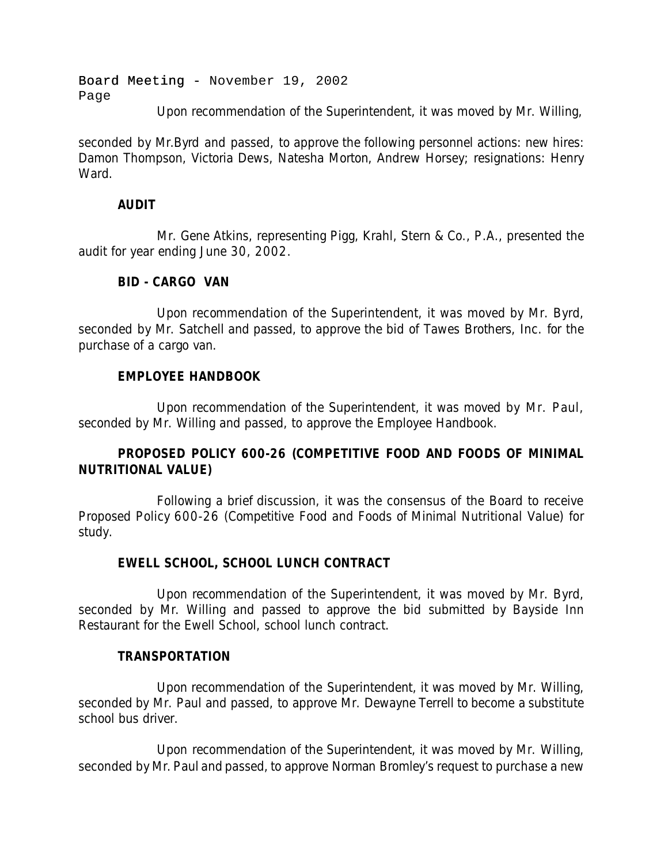Board Meeting - November 19, 2002 Page

Upon recommendation of the Superintendent, it was moved by Mr. Willing,

seconded by Mr.Byrd and passed, to approve the following personnel actions: new hires: Damon Thompson, Victoria Dews, Natesha Morton, Andrew Horsey; resignations: Henry Ward.

## **AUDIT**

Mr. Gene Atkins, representing Pigg, Krahl, Stern & Co., P.A., presented the audit for year ending June 30, 2002.

## **BID - CARGO VAN**

Upon recommendation of the Superintendent, it was moved by Mr. Byrd, seconded by Mr. Satchell and passed, to approve the bid of Tawes Brothers, Inc. for the purchase of a cargo van.

# **EMPLOYEE HANDBOOK**

Upon recommendation of the Superintendent, it was moved by Mr. Paul, seconded by Mr. Willing and passed, to approve the Employee Handbook.

# **PROPOSED POLICY 600-26 (COMPETITIVE FOOD AND FOODS OF MINIMAL NUTRITIONAL VALUE)**

Following a brief discussion, it was the consensus of the Board to receive Proposed Policy 600-26 (Competitive Food and Foods of Minimal Nutritional Value) for study.

# **EWELL SCHOOL, SCHOOL LUNCH CONTRACT**

Upon recommendation of the Superintendent, it was moved by Mr. Byrd, seconded by Mr. Willing and passed to approve the bid submitted by Bayside Inn Restaurant for the Ewell School, school lunch contract.

# **TRANSPORTATION**

Upon recommendation of the Superintendent, it was moved by Mr. Willing, seconded by Mr. Paul and passed, to approve Mr. Dewayne Terrell to become a substitute school bus driver.

Upon recommendation of the Superintendent, it was moved by Mr. Willing, seconded by Mr. Paul and passed, to approve Norman Bromley's request to purchase a new